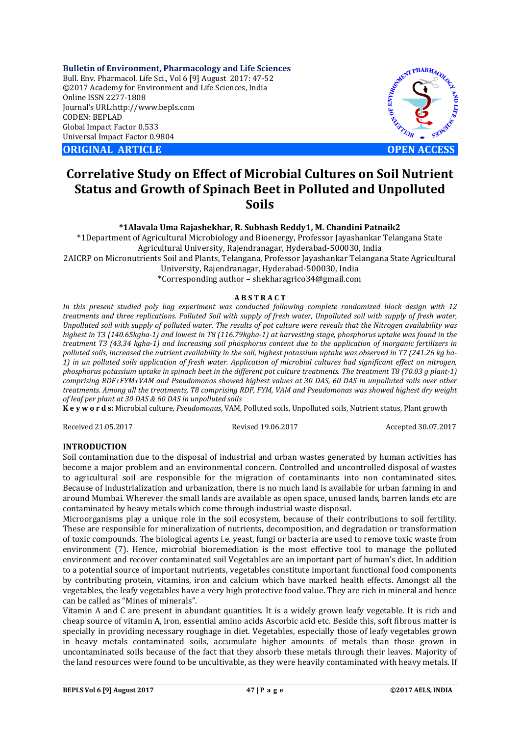**Bulletin of Environment, Pharmacology and Life Sciences** Bull. Env. Pharmacol. Life Sci., Vol 6 [9] August 2017: 47-52 ©2017 Academy for Environment and Life Sciences, India Online ISSN 2277-1808 Journal's URL:http://www.bepls.com CODEN: BEPLAD Global Impact Factor 0.533 Universal Impact Factor 0.9804

**ORIGINAL ARTICLE OPEN ACCESS** 



# **Correlative Study on Effect of Microbial Cultures on Soil Nutrient Status and Growth of Spinach Beet in Polluted and Unpolluted Soils**

**\*1Alavala Uma Rajashekhar, R. Subhash Reddy1, M. Chandini Patnaik2**

\*1Department of Agricultural Microbiology and Bioenergy, Professor Jayashankar Telangana State Agricultural University, Rajendranagar, Hyderabad-500030, India 2AICRP on Micronutrients Soil and Plants, Telangana, Professor Jayashankar Telangana State Agricultural University, Rajendranagar, Hyderabad-500030, India \*Corresponding author – shekharagrico34@gmail.com

### **A B S T R A C T**

*In this present studied poly bag experiment was conducted following complete randomized block design with 12 treatments and three replications. Polluted Soil with supply of fresh water, Unpolluted soil with supply of fresh water, Unpolluted soil with supply of polluted water. The results of pot culture were reveals that the Nitrogen availability was highest in T3 (140.65kgha-1) and lowest in T8 (116.79kgha-1) at harvesting stage, phosphorus uptake was found in the treatment T3 (43.34 kgha-1) and Increasing soil phosphorus content due to the application of inorganic fertilizers in polluted soils, increased the nutrient availability in the soil, highest potassium uptake was observed in T7 (241.26 kg ha-1) in un polluted soils application of fresh water. Application of microbial cultures had significant effect on nitrogen, phosphorus potassium uptake in spinach beet in the different pot culture treatments. The treatment T8 (70.03 g plant-1) comprising RDF+FYM+VAM and Pseudomonas showed highest values at 30 DAS, 60 DAS in unpolluted soils over other treatments. Among all the treatments, T8 comprising RDF, FYM, VAM and Pseudomonas was showed highest dry weight of leaf per plant at 30 DAS & 60 DAS in unpolluted soils*

**K e y w o r d s:** Microbial culture, *Pseudomonas*, VAM, Polluted soils, Unpolluted soils, Nutrient status, Plant growth

Received 21.05.2017 Revised 19.06.2017 Accepted 30.07.2017

# **INTRODUCTION**

Soil contamination due to the disposal of industrial and urban wastes generated by human activities has become a major problem and an environmental concern. Controlled and uncontrolled disposal of wastes to agricultural soil are responsible for the migration of contaminants into non contaminated sites. Because of industrialization and urbanization, there is no much land is available for urban farming in and around Mumbai. Wherever the small lands are available as open space, unused lands, barren lands etc are contaminated by heavy metals which come through industrial waste disposal.

Microorganisms play a unique role in the soil ecosystem, because of their contributions to soil fertility. These are responsible for mineralization of nutrients, decomposition, and degradation or transformation of toxic compounds. The biological agents i.e. yeast, fungi or bacteria are used to remove toxic waste from environment (7). Hence, microbial bioremediation is the most effective tool to manage the polluted environment and recover contaminated soil Vegetables are an important part of human's diet. In addition to a potential source of important nutrients, vegetables constitute important functional food components by contributing protein, vitamins, iron and calcium which have marked health effects. Amongst all the vegetables, the leafy vegetables have a very high protective food value. They are rich in mineral and hence can be called as "Mines of minerals".

Vitamin A and C are present in abundant quantities. It is a widely grown leafy vegetable. It is rich and cheap source of vitamin A, iron, essential amino acids Ascorbic acid etc. Beside this, soft fibrous matter is specially in providing necessary roughage in diet. Vegetables, especially those of leafy vegetables grown in heavy metals contaminated soils, accumulate higher amounts of metals than those grown in uncontaminated soils because of the fact that they absorb these metals through their leaves. Majority of the land resources were found to be uncultivable, as they were heavily contaminated with heavy metals. If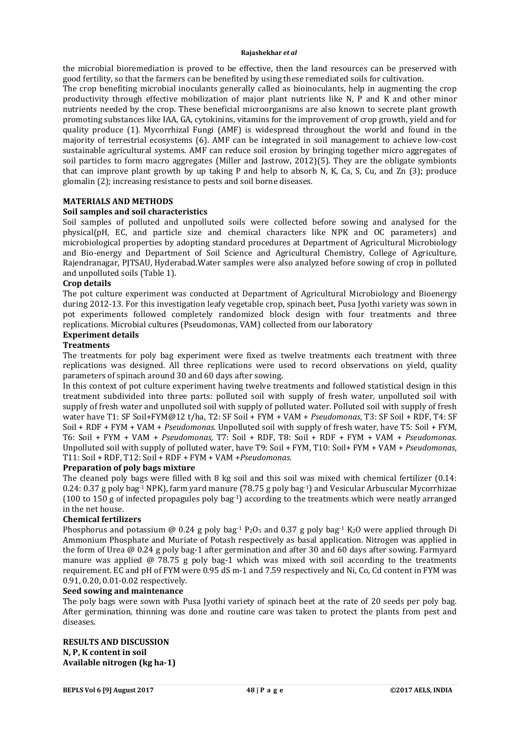the microbial bioremediation is proved to be effective, then the land resources can be preserved with good fertility, so that the farmers can be benefited by using these remediated soils for cultivation.

The crop benefiting microbial inoculants generally called as bioinoculants, help in augmenting the crop productivity through effective mobilization of major plant nutrients like N, P and K and other minor nutrients needed by the crop. These beneficial microorganisms are also known to secrete plant growth promoting substances like IAA, GA, cytokinins, vitamins for the improvement of crop growth, yield and for quality produce (1). Mycorrhizal Fungi (AMF) is widespread throughout the world and found in the majority of terrestrial ecosystems (6). AMF can be integrated in soil management to achieve low-cost sustainable agricultural systems. AMF can reduce soil erosion by bringing together micro aggregates of soil particles to form macro aggregates (Miller and Jastrow, 2012)(5). They are the obligate symbionts that can improve plant growth by up taking P and help to absorb N, K, Ca, S, Cu, and Zn (3); produce glomalin (2); increasing resistance to pests and soil borne diseases.

# **MATERIALS AND METHODS**

# **Soil samples and soil characteristics**

Soil samples of polluted and unpolluted soils were collected before sowing and analysed for the physical(pH, EC, and particle size and chemical characters like NPK and OC parameters) and microbiological properties by adopting standard procedures at Department of Agricultural Microbiology and Bio-energy and Department of Soil Science and Agricultural Chemistry, College of Agriculture, Rajendranagar, PJTSAU, Hyderabad.Water samples were also analyzed before sowing of crop in polluted and unpolluted soils (Table 1).

# **Crop details**

The pot culture experiment was conducted at Department of Agricultural Microbiology and Bioenergy during 2012-13. For this investigation leafy vegetable crop, spinach beet, Pusa Jyothi variety was sown in pot experiments followed completely randomized block design with four treatments and three replications. Microbial cultures (Pseudomonas, VAM) collected from our laboratory

### **Experiment details**

# **Treatments**

The treatments for poly bag experiment were fixed as twelve treatments each treatment with three replications was designed. All three replications were used to record observations on yield, quality parameters of spinach around 30 and 60 days after sowing.

In this context of pot culture experiment having twelve treatments and followed statistical design in this treatment subdivided into three parts: polluted soil with supply of fresh water, unpolluted soil with supply of fresh water and unpolluted soil with supply of polluted water. Polluted soil with supply of fresh water have T1: SF Soil+FYM@12 t/ha, T2: SF Soil + FYM + VAM + *Pseudomonas*, T3: SF Soil + RDF, T4: SF Soil + RDF + FYM + VAM + *Pseudomonas.* Unpolluted soil with supply of fresh water, have T5: Soil + FYM, T6: Soil + FYM + VAM + *Pseudomonas,* T7: Soil + RDF, T8: Soil + RDF + FYM + VAM + *Pseudomonas*. Unpolluted soil with supply of polluted water, have T9: Soil + FYM, T10: Soil+ FYM + VAM + *Pseudomonas*, T11: Soil + RDF, T12: Soil + RDF + FYM + VAM +*Pseudomonas*.

### **Preparation of poly bags mixture**

The cleaned poly bags were filled with 8 kg soil and this soil was mixed with chemical fertilizer (0.14: 0.24: 0.37 g poly bag-1 NPK), farm yard manure (78.75 g poly bag-1) and Vesicular Arbuscular Mycorrhizae (100 to 150 g of infected propagules poly bag-1) according to the treatments which were neatly arranged in the net house.

### **Chemical fertilizers**

Phosphorus and potassium @ 0.24 g poly bag<sup>-1</sup> P<sub>2</sub>O<sub>5</sub> and 0.37 g poly bag<sup>-1</sup> K<sub>2</sub>O were applied through Di Ammonium Phosphate and Muriate of Potash respectively as basal application. Nitrogen was applied in the form of Urea @ 0.24 g poly bag-1 after germination and after 30 and 60 days after sowing. Farmyard manure was applied @ 78.75 g poly bag-1 which was mixed with soil according to the treatments requirement. EC and pH of FYM were 0.95 dS m-1 and 7.59 respectively and Ni, Co, Cd content in FYM was 0.91, 0.20, 0.01-0.02 respectively.

### **Seed sowing and maintenance**

The poly bags were sown with Pusa Jyothi variety of spinach beet at the rate of 20 seeds per poly bag. After germination, thinning was done and routine care was taken to protect the plants from pest and diseases.

# **RESULTS AND DISCUSSION N, P, K content in soil Available nitrogen (kg ha-1)**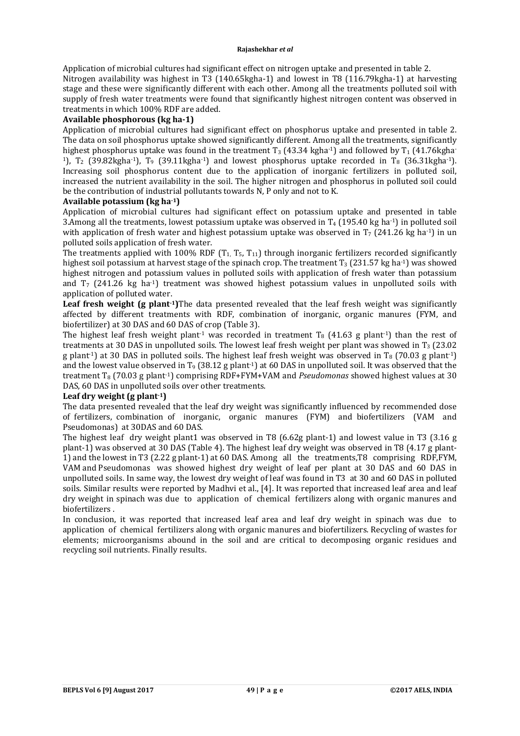Application of microbial cultures had significant effect on nitrogen uptake and presented in table 2. Nitrogen availability was highest in T3 (140.65kgha-1) and lowest in T8 (116.79kgha-1) at harvesting stage and these were significantly different with each other. Among all the treatments polluted soil with supply of fresh water treatments were found that significantly highest nitrogen content was observed in treatments in which 100% RDF are added.

### **Available phosphorous (kg ha-1)**

Application of microbial cultures had significant effect on phosphorus uptake and presented in table 2. The data on soil phosphorus uptake showed significantly different. Among all the treatments, significantly highest phosphorus uptake was found in the treatment  $T_3$  (43.34 kgha<sup>-1</sup>) and followed by  $T_1$  (41.76kgha-<sup>1</sup>),  $T_2$  (39.82kgha<sup>-1</sup>),  $T_9$  (39.11kgha<sup>-1</sup>) and lowest phosphorus uptake recorded in  $T_8$  (36.31kgha<sup>-1</sup>). Increasing soil phosphorus content due to the application of inorganic fertilizers in polluted soil, increased the nutrient availability in the soil. The higher nitrogen and phosphorus in polluted soil could be the contribution of industrial pollutants towards N, P only and not to K.

# **Available potassium (kg ha-1)**

Application of microbial cultures had significant effect on potassium uptake and presented in table 3.Among all the treatments, lowest potassium uptake was observed in  $T_4$  (195.40 kg ha<sup>-1</sup>) in polluted soil with application of fresh water and highest potassium uptake was observed in  $T_7$  (241.26 kg ha<sup>-1</sup>) in un polluted soils application of fresh water.

The treatments applied with 100% RDF  $(T_1, T_5, T_{11})$  through inorganic fertilizers recorded significantly highest soil potassium at harvest stage of the spinach crop. The treatment  $T_3$  (231.57 kg ha<sup>-1</sup>) was showed highest nitrogen and potassium values in polluted soils with application of fresh water than potassium and  $T_7$  (241.26 kg ha<sup>-1</sup>) treatment was showed highest potassium values in unpolluted soils with application of polluted water.

**Leaf fresh weight (g plant-1)**The data presented revealed that the leaf fresh weight was significantly affected by different treatments with RDF, combination of inorganic, organic manures (FYM, and biofertilizer) at 30 DAS and 60 DAS of crop (Table 3).

The highest leaf fresh weight plant<sup>-1</sup> was recorded in treatment T<sub>8</sub> (41.63 g plant<sup>-1</sup>) than the rest of treatments at 30 DAS in unpolluted soils. The lowest leaf fresh weight per plant was showed in T<sub>3</sub> (23.02) g plant<sup>-1</sup>) at 30 DAS in polluted soils. The highest leaf fresh weight was observed in  $T_8$  (70.03 g plant<sup>-1</sup>) and the lowest value observed in  $T_9$  (38.12 g plant<sup>-1</sup>) at 60 DAS in unpolluted soil. It was observed that the treatment T8 (70.03 g plant-1) comprising RDF+FYM+VAM and *Pseudomonas* showed highest values at 30 DAS, 60 DAS in unpolluted soils over other treatments.

# **Leaf dry weight (g plant-1)**

The data presented revealed that the leaf dry weight was significantly influenced by recommended dose of fertilizers, combination of inorganic, organic manures (FYM) and biofertilizers (VAM and Pseudomonas) at 30DAS and 60 DAS.

The highest leaf dry weight plant1 was observed in T8 (6.62g plant-1) and lowest value in T3 (3.16 g plant-1) was observed at 30 DAS (Table 4). The highest leaf dry weight was observed in T8 (4.17 g plant-1) and the lowest in T3 (2.22 g plant-1) at 60 DAS. Among all the treatments,T8 comprising RDF,FYM, VAM and Pseudomonas was showed highest dry weight of leaf per plant at 30 DAS and 60 DAS in unpolluted soils. In same way, the lowest dry weight of leaf was found in T3 at 30 and 60 DAS in polluted soils. Similar results were reported by Madhvi et al., [4]. It was reported that increased leaf area and leaf dry weight in spinach was due to application of chemical fertilizers along with organic manures and biofertilizers .

In conclusion, it was reported that increased leaf area and leaf dry weight in spinach was due to application of chemical fertilizers along with organic manures and biofertilizers. Recycling of wastes for elements; microorganisms abound in the soil and are critical to decomposing organic residues and recycling soil nutrients. Finally results.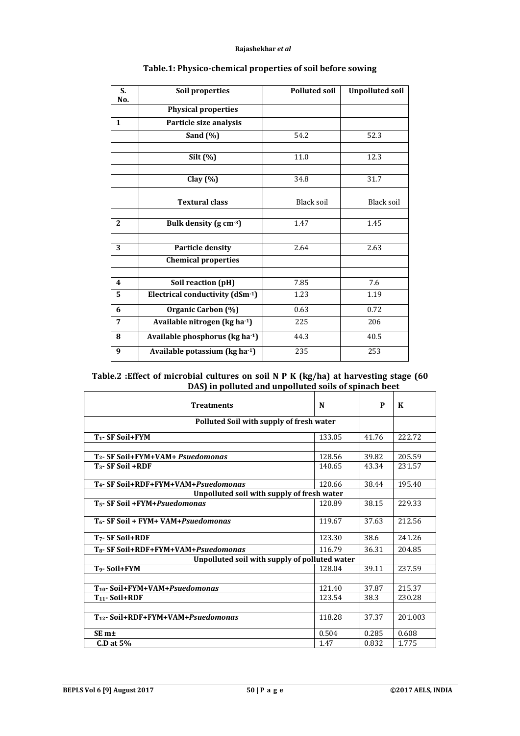| S.           | <b>Soil properties</b>          | <b>Polluted soil</b> | <b>Unpolluted soil</b> |
|--------------|---------------------------------|----------------------|------------------------|
| No.          | <b>Physical properties</b>      |                      |                        |
| $\mathbf{1}$ | Particle size analysis          |                      |                        |
|              | Sand $(\%)$                     | 54.2                 | 52.3                   |
|              |                                 |                      |                        |
|              | Silt $(\%)$                     | 11.0                 | 12.3                   |
|              | Clay $(%)$                      | 34.8                 | 31.7                   |
|              | <b>Textural class</b>           | Black soil           | Black soil             |
| 2            | Bulk density (g cm-3)           | 1.47                 | 1.45                   |
| 3            | <b>Particle density</b>         | 2.64                 | 2.63                   |
|              | <b>Chemical properties</b>      |                      |                        |
| 4            | Soil reaction (pH)              | 7.85                 | 7.6                    |
| 5            | Electrical conductivity (dSm-1) | 1.23                 | 1.19                   |
| 6            | Organic Carbon (%)              | 0.63                 | 0.72                   |
| 7            | Available nitrogen (kg ha-1)    | 225                  | 206                    |
| 8            | Available phosphorus (kg ha-1)  | 44.3                 | 40.5                   |
| 9            | Available potassium (kg ha-1)   | 235                  | 253                    |

# **Table.1: Physico-chemical properties of soil before sowing**

# **Table.2 :Effect of microbial cultures on soil N P K (kg/ha) at harvesting stage (60 DAS) in polluted and unpolluted soils of spinach beet**

| <b>Treatments</b>                                       | N      | P     | K       |
|---------------------------------------------------------|--------|-------|---------|
| Polluted Soil with supply of fresh water                |        |       |         |
| T <sub>1</sub> - SF Soil+FYM                            | 133.05 | 41.76 | 222.72  |
|                                                         |        |       |         |
| 128.56<br>T <sub>2</sub> - SF Soil+FYM+VAM+ Psuedomonas |        | 39.82 | 205.59  |
| $T_3$ - SF Soil +RDF                                    | 140.65 | 43.34 | 231.57  |
|                                                         |        |       |         |
| T <sub>4</sub> - SF Soil+RDF+FYM+VAM+Psuedomonas        | 120.66 | 38.44 | 195.40  |
| Unpolluted soil with supply of fresh water              |        |       |         |
| T <sub>5</sub> - SF Soil +FYM+Psuedomonas               | 120.89 | 38.15 | 229.33  |
| T <sub>6</sub> - SF Soil + FYM+ VAM+Psuedomonas         | 119.67 | 37.63 | 212.56  |
| T <sub>7</sub> - SF Soil+RDF                            | 123.30 | 38.6  | 241.26  |
| T <sub>8</sub> - SF Soil+RDF+FYM+VAM+Psuedomonas        | 116.79 | 36.31 | 204.85  |
| Unpolluted soil with supply of polluted water           |        |       |         |
| T <sub>9</sub> -Soil+FYM                                | 128.04 | 39.11 | 237.59  |
|                                                         |        |       |         |
| T <sub>10</sub> -Soil+FYM+VAM+Psuedomonas               | 121.40 | 37.87 | 215.37  |
| $T_{11}$ - Soil+RDF                                     | 123.54 | 38.3  | 230.28  |
|                                                         |        |       |         |
| $T_{12}$ - Soil+RDF+FYM+VAM+Psuedomonas                 | 118.28 | 37.37 | 201.003 |
| SE <sub>m<sup>±</sup></sub>                             | 0.504  | 0.285 | 0.608   |
| $C.D$ at $5\%$                                          | 1.47   | 0.832 | 1.775   |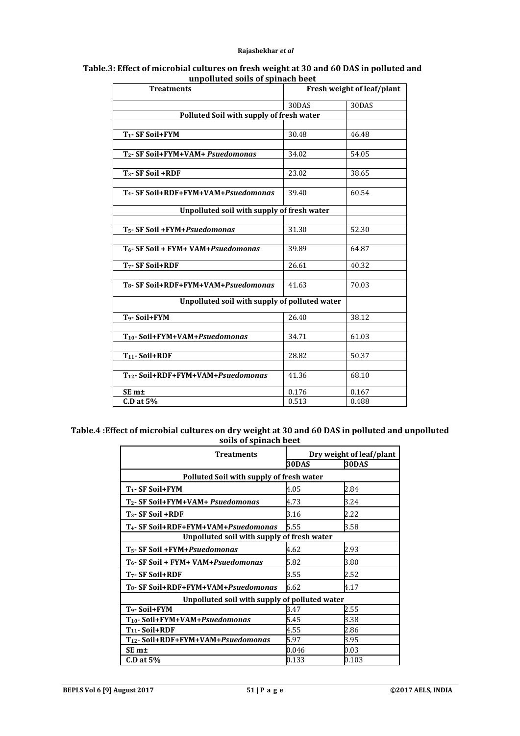| Table.3: Effect of microbial cultures on fresh weight at 30 and 60 DAS in polluted and |  |  |  |  |  |
|----------------------------------------------------------------------------------------|--|--|--|--|--|
| unpolluted soils of spinach beet                                                       |  |  |  |  |  |

| <b>Treatments</b>                                | Fresh weight of leaf/plant |       |
|--------------------------------------------------|----------------------------|-------|
|                                                  | 30DAS                      | 30DAS |
| Polluted Soil with supply of fresh water         |                            |       |
|                                                  |                            |       |
| T <sub>1</sub> - SF Soil+FYM                     | 30.48                      | 46.48 |
|                                                  |                            |       |
| T <sub>2</sub> - SF Soil+FYM+VAM+ Psuedomonas    | 34.02                      | 54.05 |
|                                                  |                            |       |
| $T_3$ - SF Soil +RDF                             | 23.02                      | 38.65 |
|                                                  |                            |       |
| T <sub>4</sub> - SF Soil+RDF+FYM+VAM+Psuedomonas | 39.40                      | 60.54 |
| Unpolluted soil with supply of fresh water       |                            |       |
|                                                  |                            |       |
| T <sub>5</sub> - SF Soil +FYM+Psuedomonas        | 31.30                      | 52.30 |
|                                                  |                            |       |
| T <sub>6</sub> - SF Soil + FYM+ VAM+Psuedomonas  | 39.89                      | 64.87 |
| T <sub>7</sub> - SF Soil+RDF                     | 26.61                      | 40.32 |
|                                                  |                            |       |
| T <sub>8</sub> - SF Soil+RDF+FYM+VAM+Psuedomonas | 41.63                      | 70.03 |
| Unpolluted soil with supply of polluted water    |                            |       |
| T <sub>9</sub> -Soil+FYM                         | 26.40                      | 38.12 |
|                                                  |                            |       |
| T <sub>10</sub> -Soil+FYM+VAM+Psuedomonas        | 34.71                      | 61.03 |
|                                                  |                            |       |
| T <sub>11</sub> -Soil+RDF                        | 28.82                      | 50.37 |
|                                                  |                            |       |
| T <sub>12</sub> - Soil+RDF+FYM+VAM+Psuedomonas   | 41.36                      | 68.10 |
| SE <sub>m<sup>±</sup></sub>                      | 0.176                      | 0.167 |
| $C.D$ at $5%$                                    | 0.513                      | 0.488 |

# **Table.4 :Effect of microbial cultures on dry weight at 30 and 60 DAS in polluted and unpolluted soils of spinach beet**

| <b>Treatments</b>                                | Dry weight of leaf/plant |             |  |  |  |
|--------------------------------------------------|--------------------------|-------------|--|--|--|
|                                                  | 30DAS                    | 30DAS       |  |  |  |
| Polluted Soil with supply of fresh water         |                          |             |  |  |  |
| T <sub>1</sub> - SF Soil+FYM                     | 4.05                     | 2.84        |  |  |  |
| T <sub>2</sub> - SF Soil+FYM+VAM+ Psuedomonas    | 4.73                     | 3.24        |  |  |  |
| T <sub>3</sub> - SF Soil +RDF                    | 3.16                     | 2.22        |  |  |  |
| T <sub>4</sub> - SF Soil+RDF+FYM+VAM+Psuedomonas | 5.55                     | 3.58        |  |  |  |
| Unpolluted soil with supply of fresh water       |                          |             |  |  |  |
| T <sub>5</sub> - SF Soil +FYM+Psuedomonas        | 4.62                     | 2.93        |  |  |  |
| T <sub>6</sub> - SF Soil + FYM+ VAM+Psuedomonas  | 5.82                     | 3.80        |  |  |  |
| T <sub>7</sub> - SF Soil+RDF                     | 3.55                     | 2.52        |  |  |  |
| T <sub>8</sub> - SF Soil+RDF+FYM+VAM+Psuedomonas | 6.62                     | 4.17        |  |  |  |
| Unpolluted soil with supply of polluted water    |                          |             |  |  |  |
| T <sub>9</sub> -Soil+FYM                         | 3.47                     | 2.55        |  |  |  |
| T <sub>10</sub> -Soil+FYM+VAM+Psuedomonas        | 5.45                     | 3.38        |  |  |  |
| $T_{11}$ - Soil+RDF                              | 4.55                     | 2.86        |  |  |  |
| T <sub>12</sub> -Soil+RDF+FYM+VAM+Psuedomonas    | 5.97                     | 3.95        |  |  |  |
| SE m±                                            | 0.046                    | $\rm 0.03$  |  |  |  |
| $CD$ at $5%$                                     | 0.133                    | $\rm 0.103$ |  |  |  |